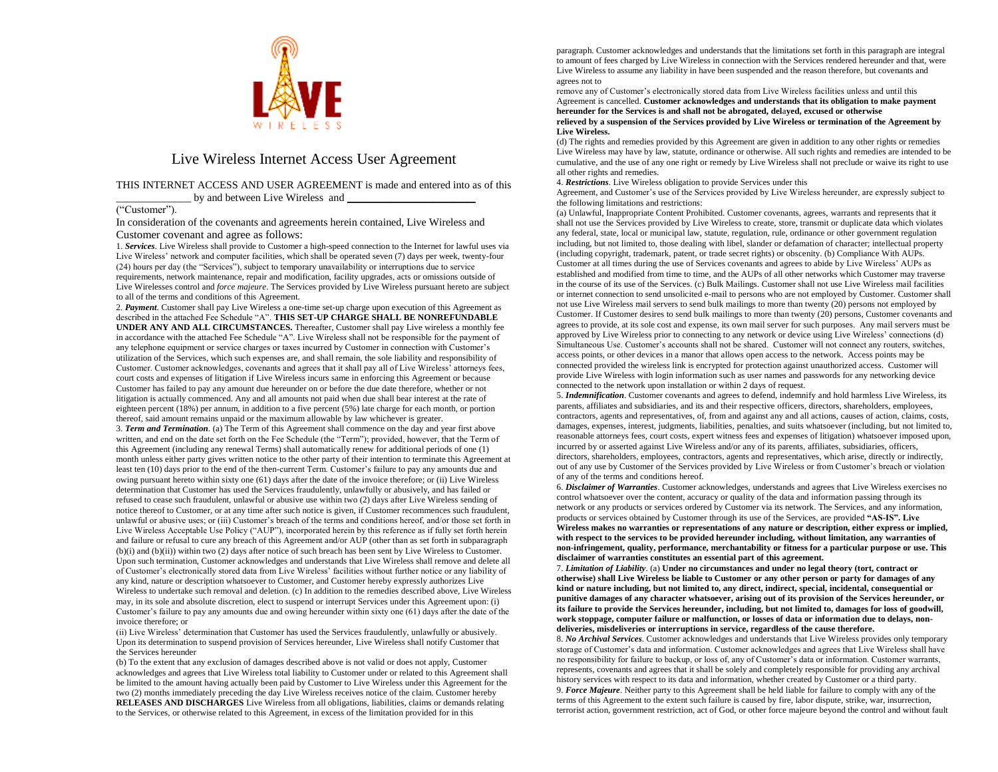

## Live Wireless Internet Access User Agreement

## THIS INTERNET ACCESS AND USER AGREEMENT is made and entered into as of this by and between Live Wireless and

## ("Customer").

In consideration of the covenants and agreements herein contained, Live Wireless and Customer covenant and agree as follows:

1. *Services*. Live Wireless shall provide to Customer a high-speed connection to the Internet for lawful uses via Live Wireless' network and computer facilities, which shall be operated seven (7) days per week, twenty-four (24) hours per day (the "Services"), subject to temporary unavailability or interruptions due to service requirements, network maintenance, repair and modification, facility upgrades, acts or omissions outside of Live Wirelesses control and *force majeure*. The Services provided by Live Wireless pursuant hereto are subject to all of the terms and conditions of this Agreement.

2. *Payment*. Customer shall pay Live Wireless a one-time set-up charge upon execution of this Agreement as described in the attached Fee Schedule "A". **THIS SET-UP CHARGE SHALL BE NONREFUNDABLE UNDER ANY AND ALL CIRCUMSTANCES.** Thereafter, Customer shall pay Live wireless a monthly fee in accordance with the attached Fee Schedule "A". Live Wireless shall not be responsible for the payment of any telephone equipment or service charges or taxes incurred by Customer in connection with Customer's utilization of the Services, which such expenses are, and shall remain, the sole liability and responsibility of Customer. Customer acknowledges, covenants and agrees that it shall pay all of Live Wireless' attorneys fees, court costs and expenses of litigation if Live Wireless incurs same in enforcing this Agreement or because Customer has failed to pay any amount due hereunder on or before the due date therefore, whether or not litigation is actually commenced. Any and all amounts not paid when due shall bear interest at the rate of eighteen percent (18%) per annum, in addition to a five percent (5%) late charge for each month, or portion thereof, said amount remains unpaid or the maximum allowable by law whichever is greater.

3. *Term and Termination*. (a) The Term of this Agreement shall commence on the day and year first above written, and end on the date set forth on the Fee Schedule (the "Term"); provided, however, that the Term of this Agreement (including any renewal Terms) shall automatically renew for additional periods of one (1) month unless either party gives written notice to the other party of their intention to terminate this Agreement at least ten (10) days prior to the end of the then-current Term. Customer's failure to pay any amounts due and owing pursuant hereto within sixty one (61) days after the date of the invoice therefore; or (ii) Live Wireless determination that Customer has used the Services fraudulently, unlawfully or abusively, and has failed or refused to cease such fraudulent, unlawful or abusive use within two (2) days after Live Wireless sending of notice thereof to Customer, or at any time after such notice is given, if Customer recommences such fraudulent, unlawful or abusive uses; or (iii) Customer's breach of the terms and conditions hereof, and/or those set forth in Live Wireless Acceptable Use Policy ("AUP"), incorporated herein by this reference as if fully set forth herein and failure or refusal to cure any breach of this Agreement and/or AUP (other than as set forth in subparagraph (b)(i) and (b)(ii)) within two (2) days after notice of such breach has been sent by Live Wireless to Customer. Upon such termination, Customer acknowledges and understands that Live Wireless shall remove and delete all of Customer's electronically stored data from Live Wireless' facilities without further notice or any liability of any kind, nature or description whatsoever to Customer, and Customer hereby expressly authorizes Live Wireless to undertake such removal and deletion. (c) In addition to the remedies described above, Live Wireless may, in its sole and absolute discretion, elect to suspend or interrupt Services under this Agreement upon: (i) Customer's failure to pay any amounts due and owing hereunder within sixty one (61) days after the date of the invoice therefore; or

(ii) Live Wireless' determination that Customer has used the Services fraudulently, unlawfully or abusively. Upon its determination to suspend provision of Services hereunder, Live Wireless shall notify Customer that the Services hereunder

(b) To the extent that any exclusion of damages described above is not valid or does not apply, Customer acknowledges and agrees that Live Wireless total liability to Customer under or related to this Agreement shall be limited to the amount having actually been paid by Customer to Live Wireless under this Agreement for the two (2) months immediately preceding the day Live Wireless receives notice of the claim. Customer hereby **RELEASES AND DISCHARGES** Live Wireless from all obligations, liabilities, claims or demands relating to the Services, or otherwise related to this Agreement, in excess of the limitation provided for in this

paragraph. Customer acknowledges and understands that the limitations set forth in this paragraph are integral to amount of fees charged by Live Wireless in connection with the Services rendered hereunder and that, were Live Wireless to assume any liability in have been suspended and the reason therefore, but covenants and agrees not to

remove any of Customer's electronically stored data from Live Wireless facilities unless and until this Agreement is cancelled. **Customer acknowledges and understands that its obligation to make payment hereunder for the Services is and shall not be abrogated, del**a**yed, excused or otherwise relieved by a suspension of the Services provided by Live Wireless or termination of the Agreement by Live Wireless.** 

(d) The rights and remedies provided by this Agreement are given in addition to any other rights or remedies Live Wireless may have by law, statute, ordinance or otherwise. All such rights and remedies are intended to be cumulative, and the use of any one right or remedy by Live Wireless shall not preclude or waive its right to use all other rights and remedies.

4. *Restrictions*. Live Wireless obligation to provide Services under this

Agreement, and Customer's use of the Services provided by Live Wireless hereunder, are expressly subject to the following limitations and restrictions:

(a) Unlawful, Inappropriate Content Prohibited. Customer covenants, agrees, warrants and represents that it shall not use the Services provided by Live Wireless to create, store, transmit or duplicate data which violates any federal, state, local or municipal law, statute, regulation, rule, ordinance or other government regulation including, but not limited to, those dealing with libel, slander or defamation of character; intellectual property (including copyright, trademark, patent, or trade secret rights) or obscenity. (b) Compliance With AUPs. Customer at all times during the use of Services covenants and agrees to abide by Live Wireless' AUPs as established and modified from time to time, and the AUPs of all other networks which Customer may traverse in the course of its use of the Services. (c) Bulk Mailings. Customer shall not use Live Wireless mail facilities or internet connection to send unsolicited e-mail to persons who are not employed by Customer. Customer shall not use Live Wireless mail servers to send bulk mailings to more than twenty (20) persons not employed by Customer. If Customer desires to send bulk mailings to more than twenty (20) persons, Customer covenants and agrees to provide, at its sole cost and expense, its own mail server for such purposes. Any mail servers must be approved by Live Wireless prior to connecting to any network or device using Live Wireless' connections (d) Simultaneous Use. Customer's accounts shall not be shared. Customer will not connect any routers, switches, access points, or other devices in a manor that allows open access to the network. Access points may be connected provided the wireless link is encrypted for protection against unauthorized access. Customer will provide Live Wireless with login information such as user names and passwords for any networking device connected to the network upon installation or within 2 days of request.

5. *Indemnification*. Customer covenants and agrees to defend, indemnify and hold harmless Live Wireless, its parents, affiliates and subsidiaries, and its and their respective officers, directors, shareholders, employees, contractors, agents and representatives, of, from and against any and all actions, causes of action, claims, costs, damages, expenses, interest, judgments, liabilities, penalties, and suits whatsoever (including, but not limited to, reasonable attorneys fees, court costs, expert witness fees and expenses of litigation) whatsoever imposed upon, incurred by or asserted against Live Wireless and/or any of its parents, affiliates, subsidiaries, officers, directors, shareholders, employees, contractors, agents and representatives, which arise, directly or indirectly, out of any use by Customer of the Services provided by Live Wireless or from Customer's breach or violation of any of the terms and conditions hereof.

6. *Disclaimer of Warranties*. Customer acknowledges, understands and agrees that Live Wireless exercises no control whatsoever over the content, accuracy or quality of the data and information passing through its network or any products or services ordered by Customer via its network. The Services, and any information, products or services obtained by Customer through its use of the Services, are provided **"AS-IS". Live Wireless makes no warranties or representations of any nature or description, either express or implied, with respect to the services to be provided hereunder including, without limitation, any warranties of non-infringement, quality, performance, merchantability or fitness for a particular purpose or use. This disclaimer of warranties constitutes an essential part of this agreement.**

7. *Limitation of Liability*. (a) **Under no circumstances and under no legal theory (tort, contract or otherwise) shall Live Wireless be liable to Customer or any other person or party for damages of any kind or nature including, but not limited to, any direct, indirect, special, incidental, consequential or punitive damages of any character whatsoever, arising out of its provision of the Services hereunder, or its failure to provide the Services hereunder, including, but not limited to, damages for loss of goodwill, work stoppage, computer failure or malfunction, or losses of data or information due to delays, nondeliveries, misdeliveries or interruptions in service, regardless of the cause therefore.**

8. *No Archival Services*. Customer acknowledges and understands that Live Wireless provides only temporary storage of Customer's data and information. Customer acknowledges and agrees that Live Wireless shall have no responsibility for failure to backup, or loss of, any of Customer's data or information. Customer warrants, represents, covenants and agrees that it shall be solely and completely responsible for providing any archival history services with respect to its data and information, whether created by Customer or a third party. 9. *Force Majeure*. Neither party to this Agreement shall be held liable for failure to comply with any of the terms of this Agreement to the extent such failure is caused by fire, labor dispute, strike, war, insurrection, terrorist action, government restriction, act of God, or other force majeure beyond the control and without fault